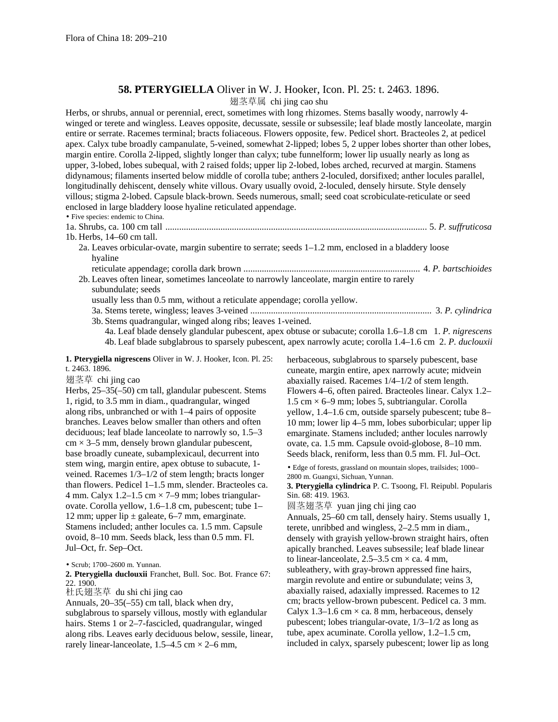## **58. PTERYGIELLA** Oliver in W. J. Hooker, Icon. Pl. 25: t. 2463. 1896.

翅茎草属 chi jing cao shu

Herbs, or shrubs, annual or perennial, erect, sometimes with long rhizomes. Stems basally woody, narrowly 4 winged or terete and wingless. Leaves opposite, decussate, sessile or subsessile; leaf blade mostly lanceolate, margin entire or serrate. Racemes terminal; bracts foliaceous. Flowers opposite, few. Pedicel short. Bracteoles 2, at pedicel apex. Calyx tube broadly campanulate, 5-veined, somewhat 2-lipped; lobes 5, 2 upper lobes shorter than other lobes, margin entire. Corolla 2-lipped, slightly longer than calyx; tube funnelform; lower lip usually nearly as long as upper, 3-lobed, lobes subequal, with 2 raised folds; upper lip 2-lobed, lobes arched, recurved at margin. Stamens didynamous; filaments inserted below middle of corolla tube; anthers 2-loculed, dorsifixed; anther locules parallel, longitudinally dehiscent, densely white villous. Ovary usually ovoid, 2-loculed, densely hirsute. Style densely villous; stigma 2-lobed. Capsule black-brown. Seeds numerous, small; seed coat scrobiculate-reticulate or seed enclosed in large bladdery loose hyaline reticulated appendage.

• Five species: endemic to China.

1a. Shrubs, ca. 100 cm tall .................................................................................................................. 5. *P. suffruticosa*

1b. Herbs, 14–60 cm tall.

- 2a. Leaves orbicular-ovate, margin subentire to serrate; seeds 1–1.2 mm, enclosed in a bladdery loose hyaline
- reticulate appendage; corolla dark brown ............................................................................. 4. *P. bartschioides* 2b. Leaves often linear, sometimes lanceolate to narrowly lanceolate, margin entire to rarely

subundulate; seeds

usually less than 0.5 mm, without a reticulate appendage; corolla yellow.

3a. Stems terete, wingless; leaves 3-veined ............................................................................... 3. *P. cylindrica*

3b. Stems quadrangular, winged along ribs; leaves 1-veined.

4a. Leaf blade densely glandular pubescent, apex obtuse or subacute; corolla 1.6–1.8 cm 1. *P. nigrescens* 4b. Leaf blade subglabrous to sparsely pubescent, apex narrowly acute; corolla 1.4–1.6 cm 2. *P. duclouxii*

**1. Pterygiella nigrescens** Oliver in W. J. Hooker, Icon. Pl. 25: t. 2463. 1896.

翅茎草 chi jing cao

Herbs, 25–35(–50) cm tall, glandular pubescent. Stems 1, rigid, to 3.5 mm in diam., quadrangular, winged along ribs, unbranched or with 1–4 pairs of opposite branches. Leaves below smaller than others and often deciduous; leaf blade lanceolate to narrowly so, 1.5–3  $cm \times 3–5$  mm, densely brown glandular pubescent, base broadly cuneate, subamplexicaul, decurrent into stem wing, margin entire, apex obtuse to subacute, 1 veined. Racemes 1/3–1/2 of stem length; bracts longer than flowers. Pedicel 1–1.5 mm, slender. Bracteoles ca. 4 mm. Calyx 1.2–1.5 cm  $\times$  7–9 mm; lobes triangularovate. Corolla yellow, 1.6–1.8 cm, pubescent; tube 1– 12 mm; upper lip  $\pm$  galeate, 6–7 mm, emarginate. Stamens included; anther locules ca. 1.5 mm. Capsule ovoid, 8–10 mm. Seeds black, less than 0.5 mm. Fl. Jul–Oct, fr. Sep–Oct.

• Scrub; 1700–2600 m. Yunnan.

**2. Pterygiella duclouxii** Franchet, Bull. Soc. Bot. France 67: 22. 1900.

杜氏翅茎草 du shi chi jing cao

Annuals, 20–35(–55) cm tall, black when dry, subglabrous to sparsely villous, mostly with eglandular hairs. Stems 1 or 2–7-fascicled, quadrangular, winged along ribs. Leaves early deciduous below, sessile, linear, rarely linear-lanceolate,  $1.5-4.5$  cm  $\times$  2–6 mm,

herbaceous, subglabrous to sparsely pubescent, base cuneate, margin entire, apex narrowly acute; midvein abaxially raised. Racemes 1/4–1/2 of stem length. Flowers 4–6, often paired. Bracteoles linear. Calyx 1.2–  $1.5 \text{ cm} \times 6-9 \text{ mm}$ ; lobes 5, subtriangular. Corolla yellow, 1.4–1.6 cm, outside sparsely pubescent; tube 8– 10 mm; lower lip 4–5 mm, lobes suborbicular; upper lip emarginate. Stamens included; anther locules narrowly ovate, ca. 1.5 mm. Capsule ovoid-globose, 8–10 mm. Seeds black, reniform, less than 0.5 mm. Fl. Jul–Oct.

• Edge of forests, grassland on mountain slopes, trailsides; 1000– 2800 m. Guangxi, Sichuan, Yunnan.

**3. Pterygiella cylindrica** P. C. Tsoong, Fl. Reipubl. Popularis Sin. 68: 419. 1963.

圆茎翅茎草 yuan jing chi jing cao

Annuals, 25–60 cm tall, densely hairy. Stems usually 1, terete, unribbed and wingless, 2–2.5 mm in diam., densely with grayish yellow-brown straight hairs, often apically branched. Leaves subsessile; leaf blade linear to linear-lanceolate,  $2.5-3.5$  cm  $\times$  ca. 4 mm, subleathery, with gray-brown appressed fine hairs, margin revolute and entire or subundulate; veins 3. abaxially raised, adaxially impressed. Racemes to 12 cm; bracts yellow-brown pubescent. Pedicel ca. 3 mm. Calyx 1.3–1.6 cm  $\times$  ca. 8 mm, herbaceous, densely pubescent; lobes triangular-ovate, 1/3–1/2 as long as tube, apex acuminate. Corolla yellow, 1.2–1.5 cm, included in calyx, sparsely pubescent; lower lip as long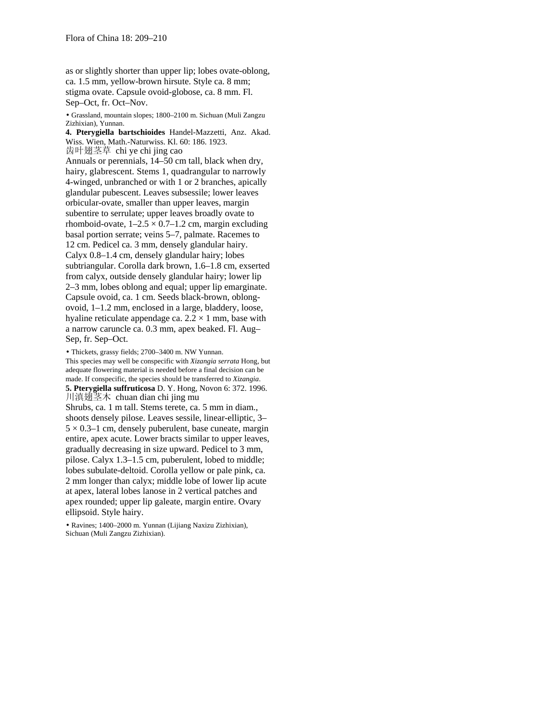as or slightly shorter than upper lip; lobes ovate-oblong, ca. 1.5 mm, yellow-brown hirsute. Style ca. 8 mm; stigma ovate. Capsule ovoid-globose, ca. 8 mm. Fl. Sep–Oct, fr. Oct–Nov.

• Grassland, mountain slopes; 1800–2100 m. Sichuan (Muli Zangzu Zizhixian), Yunnan.

**4. Pterygiella bartschioides** Handel-Mazzetti, Anz. Akad. Wiss. Wien, Math.-Naturwiss. Kl. 60: 186. 1923. 齿叶翅茎草 chi ye chi jing cao Annuals or perennials, 14–50 cm tall, black when dry, hairy, glabrescent. Stems 1, quadrangular to narrowly 4-winged, unbranched or with 1 or 2 branches, apically glandular pubescent. Leaves subsessile; lower leaves orbicular-ovate, smaller than upper leaves, margin subentire to serrulate; upper leaves broadly ovate to rhomboid-ovate,  $1-2.5 \times 0.7-1.2$  cm, margin excluding basal portion serrate; veins 5–7, palmate. Racemes to 12 cm. Pedicel ca. 3 mm, densely glandular hairy. Calyx 0.8–1.4 cm, densely glandular hairy; lobes subtriangular. Corolla dark brown, 1.6–1.8 cm, exserted from calyx, outside densely glandular hairy; lower lip 2–3 mm, lobes oblong and equal; upper lip emarginate. Capsule ovoid, ca. 1 cm. Seeds black-brown, oblongovoid, 1–1.2 mm, enclosed in a large, bladdery, loose, hyaline reticulate appendage ca.  $2.2 \times 1$  mm, base with a narrow caruncle ca. 0.3 mm, apex beaked. Fl. Aug– Sep, fr. Sep–Oct.

• Thickets, grassy fields; 2700–3400 m. NW Yunnan. This species may well be conspecific with *Xizangia serrata* Hong, but adequate flowering material is needed before a final decision can be made. If conspecific, the species should be transferred to *Xizangia*. **5. Pterygiella suffruticosa** D. Y. Hong, Novon 6: 372. 1996. 川滇翅茎木 chuan dian chi jing mu Shrubs, ca. 1 m tall. Stems terete, ca. 5 mm in diam., shoots densely pilose. Leaves sessile, linear-elliptic, 3–  $5 \times 0.3$ –1 cm, densely puberulent, base cuneate, margin entire, apex acute. Lower bracts similar to upper leaves, gradually decreasing in size upward. Pedicel to 3 mm, pilose. Calyx 1.3–1.5 cm, puberulent, lobed to middle; lobes subulate-deltoid. Corolla yellow or pale pink, ca. 2 mm longer than calyx; middle lobe of lower lip acute at apex, lateral lobes lanose in 2 vertical patches and apex rounded; upper lip galeate, margin entire. Ovary ellipsoid. Style hairy.

• Ravines; 1400–2000 m. Yunnan (Lijiang Naxizu Zizhixian), Sichuan (Muli Zangzu Zizhixian).